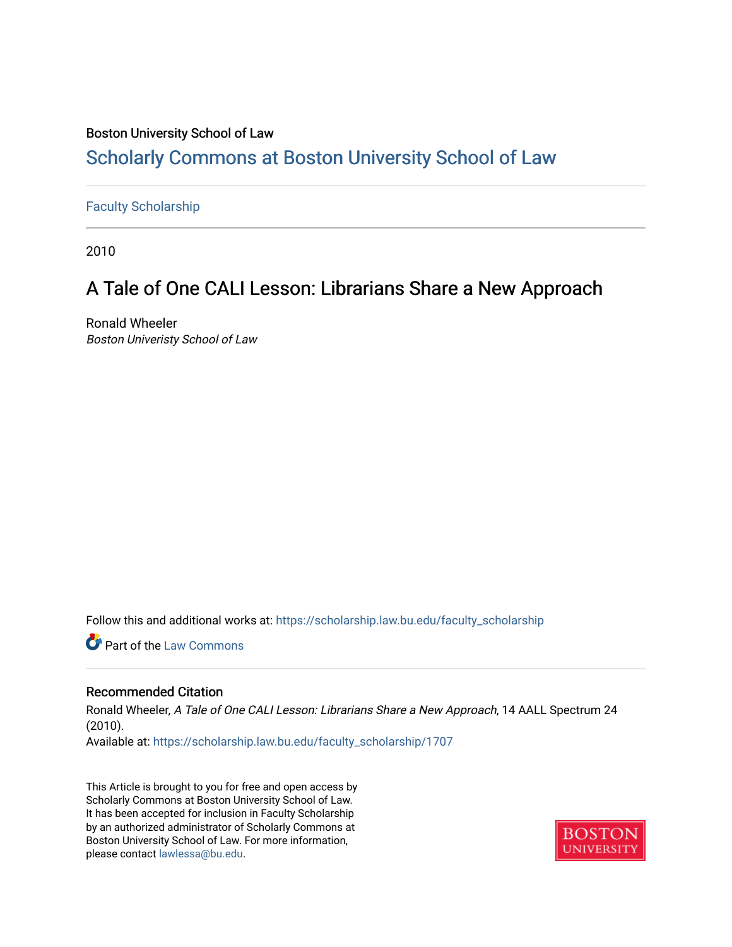### Boston University School of Law [Scholarly Commons at Boston University School of Law](https://scholarship.law.bu.edu/)

#### [Faculty Scholarship](https://scholarship.law.bu.edu/faculty_scholarship)

2010

## A Tale of One CALI Lesson: Librarians Share a New Approach

Ronald Wheeler Boston Univeristy School of Law

Follow this and additional works at: [https://scholarship.law.bu.edu/faculty\\_scholarship](https://scholarship.law.bu.edu/faculty_scholarship?utm_source=scholarship.law.bu.edu%2Ffaculty_scholarship%2F1707&utm_medium=PDF&utm_campaign=PDFCoverPages)

**C** Part of the [Law Commons](http://network.bepress.com/hgg/discipline/578?utm_source=scholarship.law.bu.edu%2Ffaculty_scholarship%2F1707&utm_medium=PDF&utm_campaign=PDFCoverPages)

#### Recommended Citation

Ronald Wheeler, A Tale of One CALI Lesson: Librarians Share a New Approach, 14 AALL Spectrum 24 (2010). Available at: [https://scholarship.law.bu.edu/faculty\\_scholarship/1707](https://scholarship.law.bu.edu/faculty_scholarship/1707?utm_source=scholarship.law.bu.edu%2Ffaculty_scholarship%2F1707&utm_medium=PDF&utm_campaign=PDFCoverPages)

This Article is brought to you for free and open access by Scholarly Commons at Boston University School of Law. It has been accepted for inclusion in Faculty Scholarship by an authorized administrator of Scholarly Commons at Boston University School of Law. For more information, please contact [lawlessa@bu.edu](mailto:lawlessa@bu.edu).

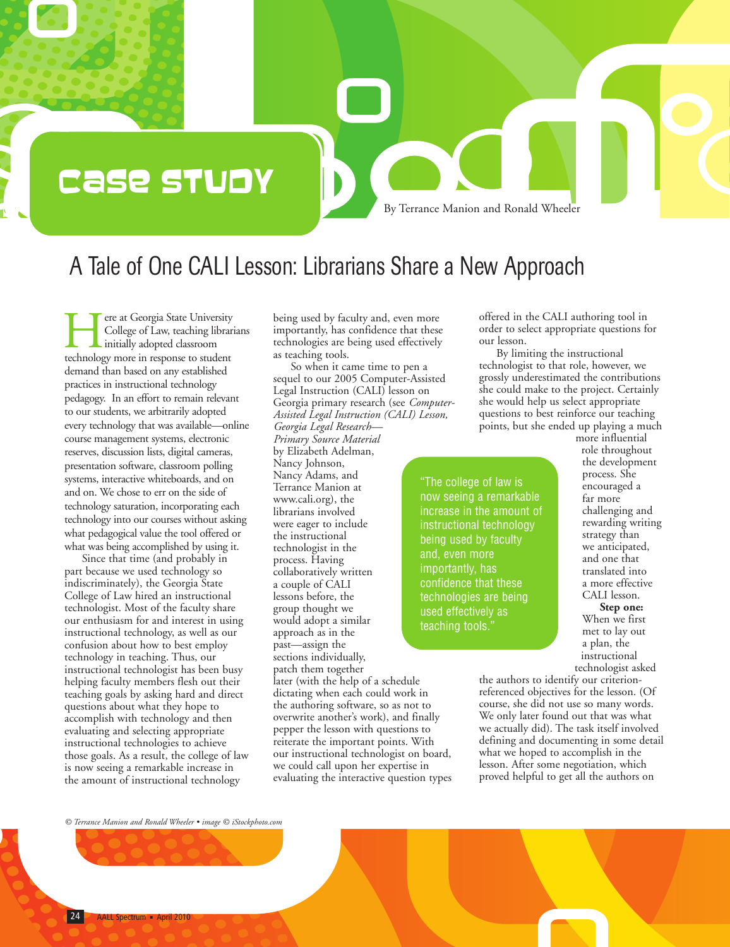# Case Study

By Terrance Manion and Ronald Wheeler

## A Tale of One CALI Lesson: Librarians Share a New Approach

Tere at Georgia State University<br>College of Law, teaching librar<br>technology more in response to student College of Law, teaching librarians initially adopted classroom demand than based on any established practices in instructional technology pedagogy. In an effort to remain relevant to our students, we arbitrarily adopted every technology that was available—online course management systems, electronic reserves, discussion lists, digital cameras, presentation software, classroom polling systems, interactive whiteboards, and on and on. We chose to err on the side of technology saturation, incorporating each technology into our courses without asking what pedagogical value the tool offered or what was being accomplished by using it.

Since that time (and probably in part because we used technology so indiscriminately), the Georgia State College of Law hired an instructional technologist. Most of the faculty share our enthusiasm for and interest in using instructional technology, as well as our confusion about how to best employ technology in teaching. Thus, our instructional technologist has been busy helping faculty members flesh out their teaching goals by asking hard and direct questions about what they hope to accomplish with technology and then evaluating and selecting appropriate instructional technologies to achieve those goals. As a result, the college of law is now seeing a remarkable increase in the amount of instructional technology

being used by faculty and, even more importantly, has confidence that these technologies are being used effectively as teaching tools. So when it came time to pen a

sequel to our 2005 Computer-Assisted Legal Instruction (CALI) lesson on Georgia primary research (see *Computer-Assisted Legal Instruction (CALI) Lesson, Georgia Legal Research— Primary Source Material* by Elizabeth Adelman, Nancy Johnson, Nancy Adams, and Terrance Manion at www.cali.org), the librarians involved were eager to include the instructional technologist in the process. Having collaboratively written a couple of CALI lessons before, the group thought we would adopt a similar approach as in the past—assign the sections individually, patch them together later (with the help of a schedule dictating when each could work in the authoring software, so as not to overwrite another's work), and finally pepper the lesson with questions to reiterate the important points. With our instructional technologist on board, we could call upon her expertise in evaluating the interactive question types

offered in the CALI authoring tool in order to select appropriate questions for our lesson.

By limiting the instructional technologist to that role, however, we grossly underestimated the contributions she could make to the project. Certainly she would help us select appropriate questions to best reinforce our teaching points, but she ended up playing a much

"The college of law is now seeing a remarkable increase in the amount of instructional technology being used by faculty and, even more importantly, has confidence that these technologies are being used effectively as teaching tools."

more influential role throughout the development process. She encouraged a far more challenging and rewarding writing strategy than we anticipated, and one that translated into a more effective CALI lesson.

**Step one:** When we first met to lay out a plan, the instructional technologist asked

the authors to identify our criterionreferenced objectives for the lesson. (Of course, she did not use so many words. We only later found out that was what we actually did). The task itself involved defining and documenting in some detail what we hoped to accomplish in the lesson. After some negotiation, which proved helpful to get all the authors on

*© Terrance Manion and Ronald Wheeler • image © iStockphoto.com*